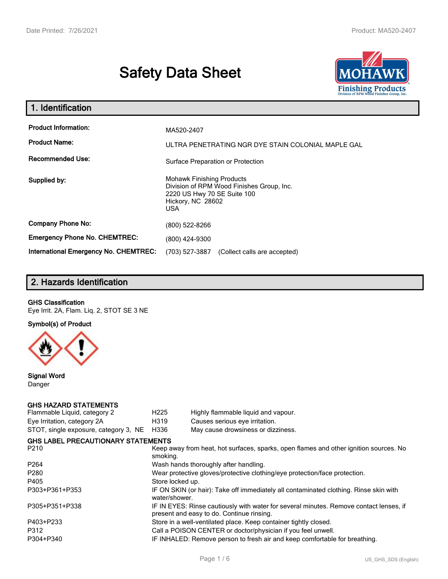# **Safety Data Sheet**



| 1. Identification                                                              |                                                                                                      |  |  |  |  |
|--------------------------------------------------------------------------------|------------------------------------------------------------------------------------------------------|--|--|--|--|
| <b>Product Information:</b><br><b>Product Name:</b><br><b>Recommended Use:</b> | MA520-2407<br>ULTRA PENETRATING NGR DYE STAIN COLONIAL MAPLE GAL                                     |  |  |  |  |
|                                                                                | Surface Preparation or Protection<br><b>Mohawk Finishing Products</b>                                |  |  |  |  |
| Supplied by:                                                                   | Division of RPM Wood Finishes Group, Inc.<br>2220 US Hwy 70 SE Suite 100<br>Hickory, NC 28602<br>USA |  |  |  |  |
| <b>Company Phone No:</b>                                                       | (800) 522-8266                                                                                       |  |  |  |  |
| <b>Emergency Phone No. CHEMTREC:</b>                                           | (800) 424-9300                                                                                       |  |  |  |  |
| <b>International Emergency No. CHEMTREC:</b>                                   | (703) 527-3887<br>(Collect calls are accepted)                                                       |  |  |  |  |

# **2. Hazards Identification**

#### **GHS Classification**

Eye Irrit. 2A, Flam. Liq. 2, STOT SE 3 NE

**Symbol(s) of Product**



**Signal Word** Danger

#### **GHS HAZARD STATEMENTS**

| H <sub>225</sub>                                                                                  | Highly flammable liquid and vapour.                                                                                                 |  |  |  |
|---------------------------------------------------------------------------------------------------|-------------------------------------------------------------------------------------------------------------------------------------|--|--|--|
| H319                                                                                              | Causes serious eye irritation.                                                                                                      |  |  |  |
| H336                                                                                              | May cause drowsiness or dizziness.                                                                                                  |  |  |  |
|                                                                                                   |                                                                                                                                     |  |  |  |
| Keep away from heat, hot surfaces, sparks, open flames and other ignition sources. No<br>smoking. |                                                                                                                                     |  |  |  |
|                                                                                                   | Wash hands thoroughly after handling.                                                                                               |  |  |  |
| Wear protective gloves/protective clothing/eye protection/face protection.                        |                                                                                                                                     |  |  |  |
| Store locked up.                                                                                  |                                                                                                                                     |  |  |  |
| water/shower.                                                                                     | IF ON SKIN (or hair): Take off immediately all contaminated clothing. Rinse skin with                                               |  |  |  |
|                                                                                                   | IF IN EYES: Rinse cautiously with water for several minutes. Remove contact lenses, if<br>present and easy to do. Continue rinsing. |  |  |  |
|                                                                                                   | Store in a well-ventilated place. Keep container tightly closed.                                                                    |  |  |  |
|                                                                                                   | Call a POISON CENTER or doctor/physician if you feel unwell.                                                                        |  |  |  |
|                                                                                                   | IF INHALED: Remove person to fresh air and keep comfortable for breathing.                                                          |  |  |  |
|                                                                                                   | <b>GHS LABEL PRECAUTIONARY STATEMENTS</b>                                                                                           |  |  |  |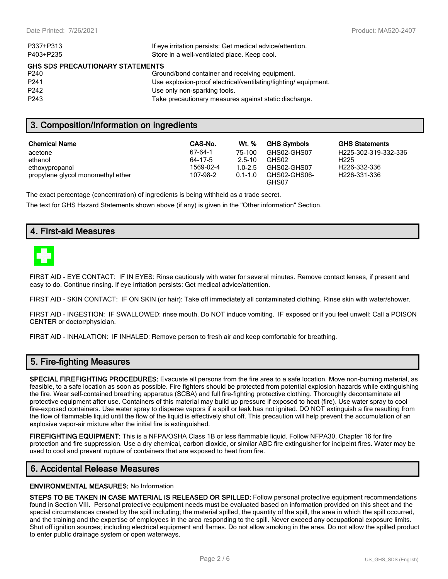| If eye irritation persists: Get medical advice/attention.      |
|----------------------------------------------------------------|
| Store in a well-ventilated place. Keep cool.                   |
| <b>GHS SDS PRECAUTIONARY STATEMENTS</b>                        |
| Ground/bond container and receiving equipment.                 |
| Use explosion-proof electrical/ventilating/lighting/equipment. |
| Use only non-sparking tools.                                   |
| Take precautionary measures against static discharge.          |
|                                                                |

## **3. Composition/Information on ingredients**

| <b>Chemical Name</b>              | CAS-No.   | Wt. %       | <b>GHS Symbols</b>    | <b>GHS Statements</b>     |
|-----------------------------------|-----------|-------------|-----------------------|---------------------------|
| acetone                           | 67-64-1   | 75-100      | GHS02-GHS07           | H225-302-319-332-336      |
| ethanol                           | 64-17-5   | $25-10$     | GHS02                 | H <sub>225</sub>          |
| ethoxypropanol                    | 1569-02-4 | $1.0 - 2.5$ | GHS02-GHS07           | H <sub>226</sub> -332-336 |
| propylene glycol monomethyl ether | 107-98-2  | $0.1 - 1.0$ | GHS02-GHS06-<br>GHS07 | H226-331-336              |

The exact percentage (concentration) of ingredients is being withheld as a trade secret.

The text for GHS Hazard Statements shown above (if any) is given in the "Other information" Section.

## **4. First-aid Measures**



FIRST AID - EYE CONTACT: IF IN EYES: Rinse cautiously with water for several minutes. Remove contact lenses, if present and easy to do. Continue rinsing. If eye irritation persists: Get medical advice/attention.

FIRST AID - SKIN CONTACT: IF ON SKIN (or hair): Take off immediately all contaminated clothing. Rinse skin with water/shower.

FIRST AID - INGESTION: IF SWALLOWED: rinse mouth. Do NOT induce vomiting. IF exposed or if you feel unwell: Call a POISON CENTER or doctor/physician.

FIRST AID - INHALATION: IF INHALED: Remove person to fresh air and keep comfortable for breathing.

## **5. Fire-fighting Measures**

**SPECIAL FIREFIGHTING PROCEDURES:** Evacuate all persons from the fire area to a safe location. Move non-burning material, as feasible, to a safe location as soon as possible. Fire fighters should be protected from potential explosion hazards while extinguishing the fire. Wear self-contained breathing apparatus (SCBA) and full fire-fighting protective clothing. Thoroughly decontaminate all protective equipment after use. Containers of this material may build up pressure if exposed to heat (fire). Use water spray to cool fire-exposed containers. Use water spray to disperse vapors if a spill or leak has not ignited. DO NOT extinguish a fire resulting from the flow of flammable liquid until the flow of the liquid is effectively shut off. This precaution will help prevent the accumulation of an explosive vapor-air mixture after the initial fire is extinguished.

**FIREFIGHTING EQUIPMENT:** This is a NFPA/OSHA Class 1B or less flammable liquid. Follow NFPA30, Chapter 16 for fire protection and fire suppression. Use a dry chemical, carbon dioxide, or similar ABC fire extinguisher for incipeint fires. Water may be used to cool and prevent rupture of containers that are exposed to heat from fire.

## **6. Accidental Release Measures**

#### **ENVIRONMENTAL MEASURES:** No Information

**STEPS TO BE TAKEN IN CASE MATERIAL IS RELEASED OR SPILLED:** Follow personal protective equipment recommendations found in Section VIII. Personal protective equipment needs must be evaluated based on information provided on this sheet and the special circumstances created by the spill including; the material spilled, the quantity of the spill, the area in which the spill occurred, and the training and the expertise of employees in the area responding to the spill. Never exceed any occupational exposure limits. Shut off ignition sources; including electrical equipment and flames. Do not allow smoking in the area. Do not allow the spilled product to enter public drainage system or open waterways.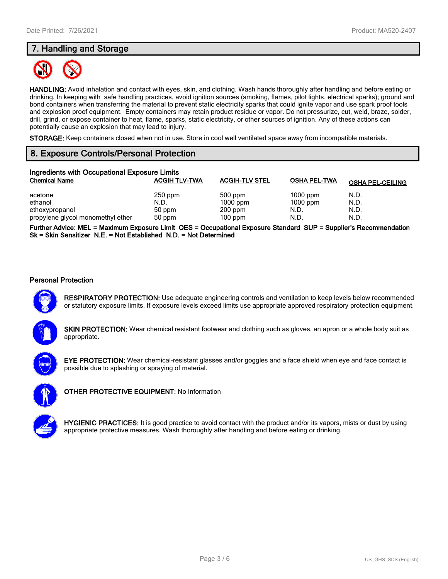# **7. Handling and Storage**



**HANDLING:** Avoid inhalation and contact with eyes, skin, and clothing. Wash hands thoroughly after handling and before eating or drinking. In keeping with safe handling practices, avoid ignition sources (smoking, flames, pilot lights, electrical sparks); ground and bond containers when transferring the material to prevent static electricity sparks that could ignite vapor and use spark proof tools and explosion proof equipment. Empty containers may retain product residue or vapor. Do not pressurize, cut, weld, braze, solder, drill, grind, or expose container to heat, flame, sparks, static electricity, or other sources of ignition. Any of these actions can potentially cause an explosion that may lead to injury.

**STORAGE:** Keep containers closed when not in use. Store in cool well ventilated space away from incompatible materials.

# **8. Exposure Controls/Personal Protection**

| Ingredients with Occupational Exposure Limits |                      |                       |                     |                         |  |  |
|-----------------------------------------------|----------------------|-----------------------|---------------------|-------------------------|--|--|
| <b>Chemical Name</b>                          | <b>ACGIH TLV-TWA</b> | <b>ACGIH-TLV STEL</b> | <b>OSHA PEL-TWA</b> | <b>OSHA PEL-CEILING</b> |  |  |
| acetone                                       | $250$ ppm            | 500 ppm               | $1000$ ppm          | N.D.                    |  |  |
| ethanol                                       | N.D.                 | $1000$ ppm            | $1000$ ppm          | N.D.                    |  |  |
| ethoxypropanol                                | 50 ppm               | $200$ ppm             | N.D.                | N.D.                    |  |  |
| propylene glycol monomethyl ether             | 50 ppm               | $100$ ppm             | N.D.                | N.D.                    |  |  |

**Further Advice: MEL = Maximum Exposure Limit OES = Occupational Exposure Standard SUP = Supplier's Recommendation Sk = Skin Sensitizer N.E. = Not Established N.D. = Not Determined**

#### **Personal Protection**



**RESPIRATORY PROTECTION:** Use adequate engineering controls and ventilation to keep levels below recommended or statutory exposure limits. If exposure levels exceed limits use appropriate approved respiratory protection equipment.

**SKIN PROTECTION:** Wear chemical resistant footwear and clothing such as gloves, an apron or a whole body suit as appropriate.



**EYE PROTECTION:** Wear chemical-resistant glasses and/or goggles and a face shield when eye and face contact is possible due to splashing or spraying of material.



**OTHER PROTECTIVE EQUIPMENT:** No Information



**HYGIENIC PRACTICES:** It is good practice to avoid contact with the product and/or its vapors, mists or dust by using appropriate protective measures. Wash thoroughly after handling and before eating or drinking.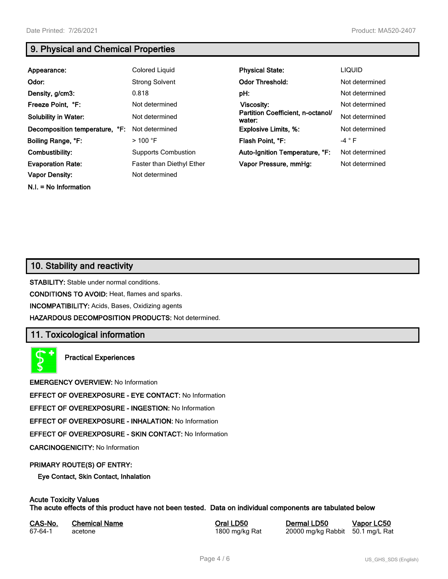**N.I. = No Information**

# **9. Physical and Chemical Properties**

| Appearance:                    | Colored Liquid             | <b>Physical State:</b>                      | <b>LIQUID</b>  |
|--------------------------------|----------------------------|---------------------------------------------|----------------|
| Odor:                          | <b>Strong Solvent</b>      | <b>Odor Threshold:</b>                      | Not determined |
| Density, g/cm3:                | 0.818                      | pH:                                         | Not determined |
| Freeze Point, °F:              | Not determined             | <b>Viscosity:</b>                           | Not determined |
| <b>Solubility in Water:</b>    | Not determined             | Partition Coefficient, n-octanol/<br>water: | Not determined |
| Decomposition temperature, °F: | Not determined             | <b>Explosive Limits, %:</b>                 | Not determined |
| Boiling Range, °F:             | $>100$ °F                  | Flash Point, °F:                            | $-4 ° F$       |
| Combustibility:                | <b>Supports Combustion</b> | Auto-Ignition Temperature, °F:              | Not determined |
| <b>Evaporation Rate:</b>       | Faster than Diethyl Ether  | Vapor Pressure, mmHg:                       | Not determined |
| <b>Vapor Density:</b>          | Not determined             |                                             |                |

## **10. Stability and reactivity**

**STABILITY:** Stable under normal conditions.

**CONDITIONS TO AVOID:** Heat, flames and sparks.

**INCOMPATIBILITY:** Acids, Bases, Oxidizing agents

**HAZARDOUS DECOMPOSITION PRODUCTS:** Not determined.

# **11. Toxicological information**

**Practical Experiences**

**EMERGENCY OVERVIEW:** No Information

**EFFECT OF OVEREXPOSURE - EYE CONTACT:** No Information

**EFFECT OF OVEREXPOSURE - INGESTION:** No Information

**EFFECT OF OVEREXPOSURE - INHALATION:** No Information

**EFFECT OF OVEREXPOSURE - SKIN CONTACT:** No Information

**CARCINOGENICITY:** No Information

#### **PRIMARY ROUTE(S) OF ENTRY:**

**Eye Contact, Skin Contact, Inhalation**

# **Acute Toxicity Values**

**The acute effects of this product have not been tested. Data on individual components are tabulated below**

| CAS-No. | <b>Chemical Name</b> |
|---------|----------------------|
| 67-64-1 | acetone              |

**Casary Chemical Chemical LD50 Chemical LD50 Vapor LC50** 1800 mg/kg Rat 20000 mg/kg Rabbit 50.1 mg/L Rat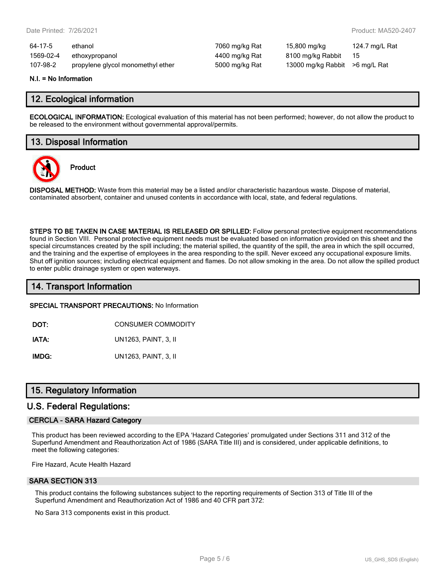| 64-17-5   | ethanol                           | 7060 mg/kg Rat | 15,800 mg/kg                   | 124.7 mg/L Rat |
|-----------|-----------------------------------|----------------|--------------------------------|----------------|
| 1569-02-4 | ethoxypropanol                    | 4400 mg/kg Rat | 8100 mg/kg Rabbit              | - 15           |
| 107-98-2  | propylene glycol monomethyl ether | 5000 mg/kg Rat | 13000 mg/kg Rabbit >6 mg/L Rat |                |

#### **N.I. = No Information**

## **12. Ecological information**

**ECOLOGICAL INFORMATION:** Ecological evaluation of this material has not been performed; however, do not allow the product to be released to the environment without governmental approval/permits.

## **13. Disposal Information**



**Product**

**DISPOSAL METHOD:** Waste from this material may be a listed and/or characteristic hazardous waste. Dispose of material, contaminated absorbent, container and unused contents in accordance with local, state, and federal regulations.

**STEPS TO BE TAKEN IN CASE MATERIAL IS RELEASED OR SPILLED:** Follow personal protective equipment recommendations found in Section VIII. Personal protective equipment needs must be evaluated based on information provided on this sheet and the special circumstances created by the spill including; the material spilled, the quantity of the spill, the area in which the spill occurred, and the training and the expertise of employees in the area responding to the spill. Never exceed any occupational exposure limits. Shut off ignition sources; including electrical equipment and flames. Do not allow smoking in the area. Do not allow the spilled product to enter public drainage system or open waterways.

## **14. Transport Information**

#### **SPECIAL TRANSPORT PRECAUTIONS:** No Information

**DOT:** CONSUMER COMMODITY

**IATA:** UN1263, PAINT, 3, II

**IMDG:** UN1263, PAINT, 3, II

## **15. Regulatory Information**

#### **U.S. Federal Regulations:**

#### **CERCLA - SARA Hazard Category**

This product has been reviewed according to the EPA 'Hazard Categories' promulgated under Sections 311 and 312 of the Superfund Amendment and Reauthorization Act of 1986 (SARA Title III) and is considered, under applicable definitions, to meet the following categories:

Fire Hazard, Acute Health Hazard

#### **SARA SECTION 313**

This product contains the following substances subject to the reporting requirements of Section 313 of Title III of the Superfund Amendment and Reauthorization Act of 1986 and 40 CFR part 372:

No Sara 313 components exist in this product.